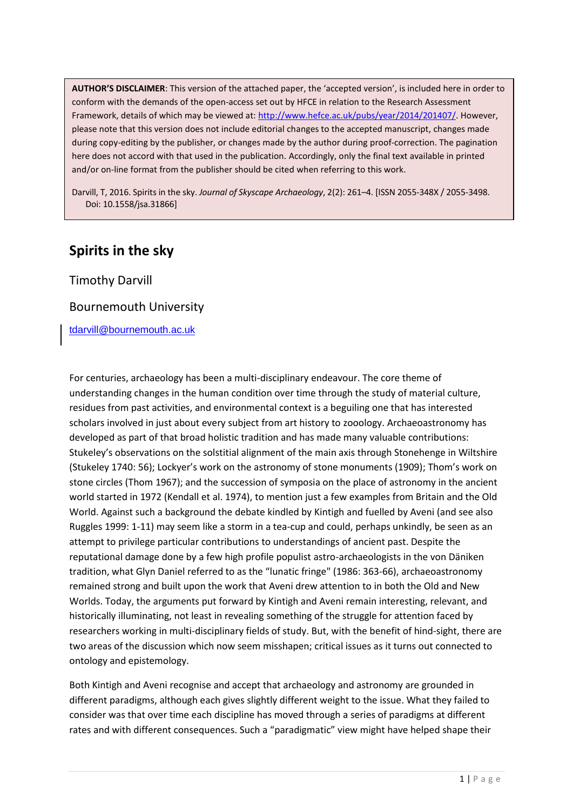**AUTHOR'S DISCLAIMER**: This version of the attached paper, the 'accepted version', is included here in order to conform with the demands of the open-access set out by HFCE in relation to the Research Assessment Framework, details of which may be viewed at[: http://www.hefce.ac.uk/pubs/year/2014/201407/.](http://www.hefce.ac.uk/pubs/year/2014/201407/) However, please note that this version does not include editorial changes to the accepted manuscript, changes made during copy-editing by the publisher, or changes made by the author during proof-correction. The pagination here does not accord with that used in the publication. Accordingly, only the final text available in printed and/or on-line format from the publisher should be cited when referring to this work.

Darvill, T, 2016. Spirits in the sky. *Journal of Skyscape Archaeology*, 2(2): 261–4. [ISSN 2055-348X / 2055-3498. Doi: 10.1558/jsa.31866]

## **Spirits in the sky**

Timothy Darvill

## Bournemouth University

[tdarvill@bournemouth.ac.uk](mailto:tdarvill@bournemouth.ac.uk)

For centuries, archaeology has been a multi-disciplinary endeavour. The core theme of understanding changes in the human condition over time through the study of material culture, residues from past activities, and environmental context is a beguiling one that has interested scholars involved in just about every subject from art history to zooology. Archaeoastronomy has developed as part of that broad holistic tradition and has made many valuable contributions: Stukeley's observations on the solstitial alignment of the main axis through Stonehenge in Wiltshire (Stukeley 1740: 56); Lockyer's work on the astronomy of stone monuments (1909); Thom's work on stone circles (Thom 1967); and the succession of symposia on the place of astronomy in the ancient world started in 1972 (Kendall et al. 1974), to mention just a few examples from Britain and the Old World. Against such a background the debate kindled by Kintigh and fuelled by Aveni (and see also Ruggles 1999: 1-11) may seem like a storm in a tea-cup and could, perhaps unkindly, be seen as an attempt to privilege particular contributions to understandings of ancient past. Despite the reputational damage done by a few high profile populist astro-archaeologists in the von Däniken tradition, what Glyn Daniel referred to as the "lunatic fringe" (1986: 363-66), archaeoastronomy remained strong and built upon the work that Aveni drew attention to in both the Old and New Worlds. Today, the arguments put forward by Kintigh and Aveni remain interesting, relevant, and historically illuminating, not least in revealing something of the struggle for attention faced by researchers working in multi-disciplinary fields of study. But, with the benefit of hind-sight, there are two areas of the discussion which now seem misshapen; critical issues as it turns out connected to ontology and epistemology.

Both Kintigh and Aveni recognise and accept that archaeology and astronomy are grounded in different paradigms, although each gives slightly different weight to the issue. What they failed to consider was that over time each discipline has moved through a series of paradigms at different rates and with different consequences. Such a "paradigmatic" view might have helped shape their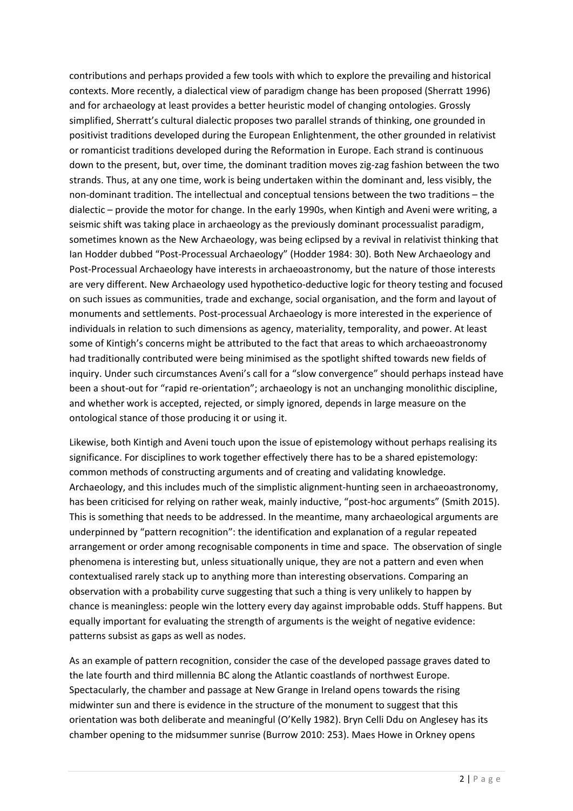contributions and perhaps provided a few tools with which to explore the prevailing and historical contexts. More recently, a dialectical view of paradigm change has been proposed (Sherratt 1996) and for archaeology at least provides a better heuristic model of changing ontologies. Grossly simplified, Sherratt's cultural dialectic proposes two parallel strands of thinking, one grounded in positivist traditions developed during the European Enlightenment, the other grounded in relativist or romanticist traditions developed during the Reformation in Europe. Each strand is continuous down to the present, but, over time, the dominant tradition moves zig-zag fashion between the two strands. Thus, at any one time, work is being undertaken within the dominant and, less visibly, the non-dominant tradition. The intellectual and conceptual tensions between the two traditions – the dialectic – provide the motor for change. In the early 1990s, when Kintigh and Aveni were writing, a seismic shift was taking place in archaeology as the previously dominant processualist paradigm, sometimes known as the New Archaeology, was being eclipsed by a revival in relativist thinking that Ian Hodder dubbed "Post-Processual Archaeology" (Hodder 1984: 30). Both New Archaeology and Post-Processual Archaeology have interests in archaeoastronomy, but the nature of those interests are very different. New Archaeology used hypothetico-deductive logic for theory testing and focused on such issues as communities, trade and exchange, social organisation, and the form and layout of monuments and settlements. Post-processual Archaeology is more interested in the experience of individuals in relation to such dimensions as agency, materiality, temporality, and power. At least some of Kintigh's concerns might be attributed to the fact that areas to which archaeoastronomy had traditionally contributed were being minimised as the spotlight shifted towards new fields of inquiry. Under such circumstances Aveni's call for a "slow convergence" should perhaps instead have been a shout-out for "rapid re-orientation"; archaeology is not an unchanging monolithic discipline, and whether work is accepted, rejected, or simply ignored, depends in large measure on the ontological stance of those producing it or using it.

Likewise, both Kintigh and Aveni touch upon the issue of epistemology without perhaps realising its significance. For disciplines to work together effectively there has to be a shared epistemology: common methods of constructing arguments and of creating and validating knowledge. Archaeology, and this includes much of the simplistic alignment-hunting seen in archaeoastronomy, has been criticised for relying on rather weak, mainly inductive, "post-hoc arguments" (Smith 2015). This is something that needs to be addressed. In the meantime, many archaeological arguments are underpinned by "pattern recognition": the identification and explanation of a regular repeated arrangement or order among recognisable components in time and space. The observation of single phenomena is interesting but, unless situationally unique, they are not a pattern and even when contextualised rarely stack up to anything more than interesting observations. Comparing an observation with a probability curve suggesting that such a thing is very unlikely to happen by chance is meaningless: people win the lottery every day against improbable odds. Stuff happens. But equally important for evaluating the strength of arguments is the weight of negative evidence: patterns subsist as gaps as well as nodes.

As an example of pattern recognition, consider the case of the developed passage graves dated to the late fourth and third millennia BC along the Atlantic coastlands of northwest Europe. Spectacularly, the chamber and passage at New Grange in Ireland opens towards the rising midwinter sun and there is evidence in the structure of the monument to suggest that this orientation was both deliberate and meaningful (O'Kelly 1982). Bryn Celli Ddu on Anglesey has its chamber opening to the midsummer sunrise (Burrow 2010: 253). Maes Howe in Orkney opens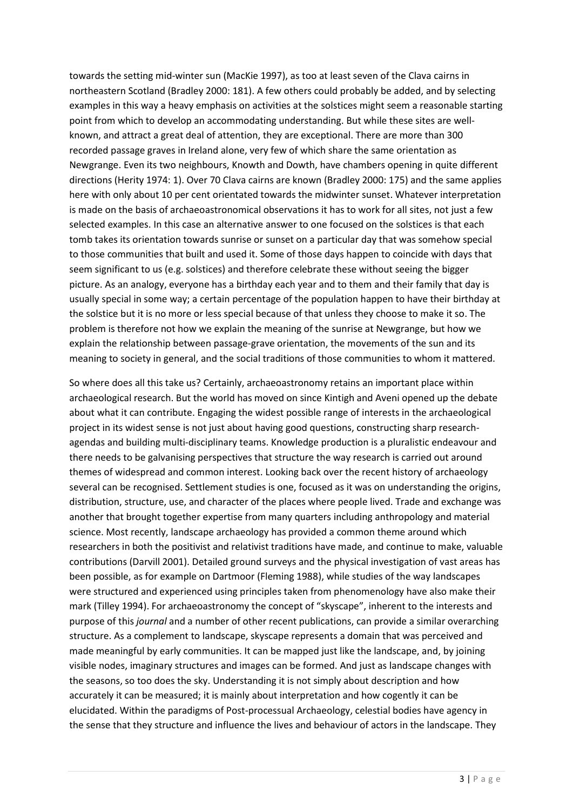towards the setting mid-winter sun (MacKie 1997), as too at least seven of the Clava cairns in northeastern Scotland (Bradley 2000: 181). A few others could probably be added, and by selecting examples in this way a heavy emphasis on activities at the solstices might seem a reasonable starting point from which to develop an accommodating understanding. But while these sites are wellknown, and attract a great deal of attention, they are exceptional. There are more than 300 recorded passage graves in Ireland alone, very few of which share the same orientation as Newgrange. Even its two neighbours, Knowth and Dowth, have chambers opening in quite different directions (Herity 1974: 1). Over 70 Clava cairns are known (Bradley 2000: 175) and the same applies here with only about 10 per cent orientated towards the midwinter sunset. Whatever interpretation is made on the basis of archaeoastronomical observations it has to work for all sites, not just a few selected examples. In this case an alternative answer to one focused on the solstices is that each tomb takes its orientation towards sunrise or sunset on a particular day that was somehow special to those communities that built and used it. Some of those days happen to coincide with days that seem significant to us (e.g. solstices) and therefore celebrate these without seeing the bigger picture. As an analogy, everyone has a birthday each year and to them and their family that day is usually special in some way; a certain percentage of the population happen to have their birthday at the solstice but it is no more or less special because of that unless they choose to make it so. The problem is therefore not how we explain the meaning of the sunrise at Newgrange, but how we explain the relationship between passage-grave orientation, the movements of the sun and its meaning to society in general, and the social traditions of those communities to whom it mattered.

So where does all this take us? Certainly, archaeoastronomy retains an important place within archaeological research. But the world has moved on since Kintigh and Aveni opened up the debate about what it can contribute. Engaging the widest possible range of interests in the archaeological project in its widest sense is not just about having good questions, constructing sharp researchagendas and building multi-disciplinary teams. Knowledge production is a pluralistic endeavour and there needs to be galvanising perspectives that structure the way research is carried out around themes of widespread and common interest. Looking back over the recent history of archaeology several can be recognised. Settlement studies is one, focused as it was on understanding the origins, distribution, structure, use, and character of the places where people lived. Trade and exchange was another that brought together expertise from many quarters including anthropology and material science. Most recently, landscape archaeology has provided a common theme around which researchers in both the positivist and relativist traditions have made, and continue to make, valuable contributions (Darvill 2001). Detailed ground surveys and the physical investigation of vast areas has been possible, as for example on Dartmoor (Fleming 1988), while studies of the way landscapes were structured and experienced using principles taken from phenomenology have also make their mark (Tilley 1994). For archaeoastronomy the concept of "skyscape", inherent to the interests and purpose of this *journal* and a number of other recent publications, can provide a similar overarching structure. As a complement to landscape, skyscape represents a domain that was perceived and made meaningful by early communities. It can be mapped just like the landscape, and, by joining visible nodes, imaginary structures and images can be formed. And just as landscape changes with the seasons, so too does the sky. Understanding it is not simply about description and how accurately it can be measured; it is mainly about interpretation and how cogently it can be elucidated. Within the paradigms of Post-processual Archaeology, celestial bodies have agency in the sense that they structure and influence the lives and behaviour of actors in the landscape. They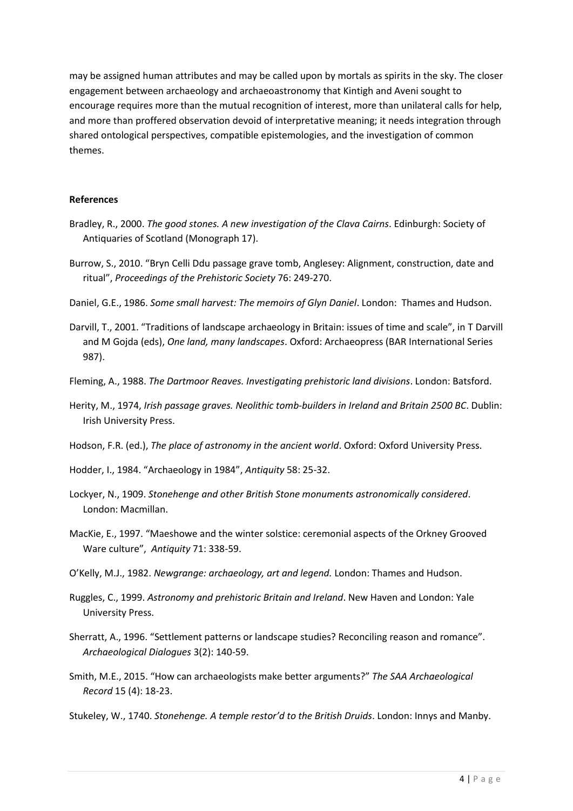may be assigned human attributes and may be called upon by mortals as spirits in the sky. The closer engagement between archaeology and archaeoastronomy that Kintigh and Aveni sought to encourage requires more than the mutual recognition of interest, more than unilateral calls for help, and more than proffered observation devoid of interpretative meaning; it needs integration through shared ontological perspectives, compatible epistemologies, and the investigation of common themes.

## **References**

- Bradley, R., 2000. *The good stones. A new investigation of the Clava Cairns*. Edinburgh: Society of Antiquaries of Scotland (Monograph 17).
- Burrow, S., 2010. "Bryn Celli Ddu passage grave tomb, Anglesey: Alignment, construction, date and ritual", *Proceedings of the Prehistoric Society* 76: 249-270.
- Daniel, G.E., 1986. *Some small harvest: The memoirs of Glyn Daniel*. London: Thames and Hudson.
- Darvill, T., 2001. "Traditions of landscape archaeology in Britain: issues of time and scale", in T Darvill and M Gojda (eds), *One land, many landscapes*. Oxford: Archaeopress (BAR International Series 987).
- Fleming, A., 1988. *The Dartmoor Reaves. Investigating prehistoric land divisions*. London: Batsford.
- Herity, M., 1974, *Irish passage graves. Neolithic tomb-builders in Ireland and Britain 2500 BC*. Dublin: Irish University Press.
- Hodson, F.R. (ed.), *The place of astronomy in the ancient world*. Oxford: Oxford University Press.
- Hodder, I., 1984. "Archaeology in 1984", *Antiquity* 58: 25-32.
- Lockyer, N., 1909. *Stonehenge and other British Stone monuments astronomically considered*. London: Macmillan.
- MacKie, E., 1997. "Maeshowe and the winter solstice: ceremonial aspects of the Orkney Grooved Ware culture", *Antiquity* 71: 338-59.
- O'Kelly, M.J., 1982. *Newgrange: archaeology, art and legend.* London: Thames and Hudson.
- Ruggles, C., 1999. *Astronomy and prehistoric Britain and Ireland*. New Haven and London: Yale University Press.
- Sherratt, A., 1996. "Settlement patterns or landscape studies? Reconciling reason and romance". *Archaeological Dialogues* 3(2): 140-59.
- Smith, M.E., 2015. "How can archaeologists make better arguments?" *The SAA Archaeological Record* 15 (4): 18-23.
- Stukeley, W., 1740. *Stonehenge. A temple restor'd to the British Druids*. London: Innys and Manby.